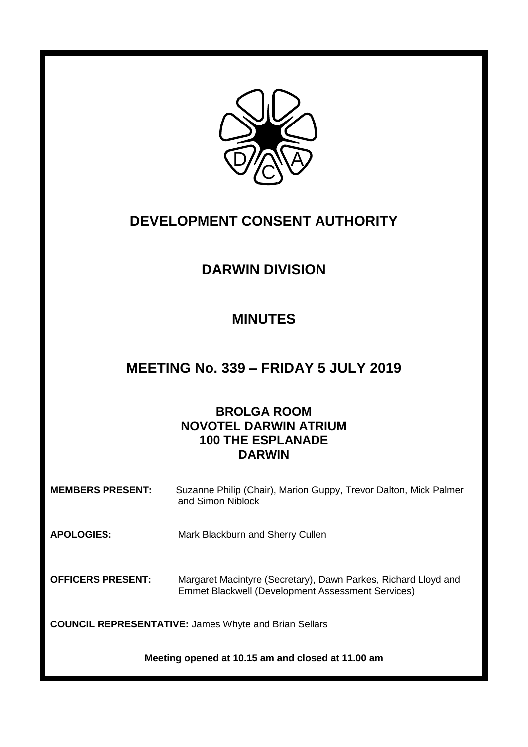

# **DEVELOPMENT CONSENT AUTHORITY**

# **DARWIN DIVISION**

# **MINUTES**

# **MEETING No. 339 – FRIDAY 5 JULY 2019**

# **BROLGA ROOM NOVOTEL DARWIN ATRIUM 100 THE ESPLANADE DARWIN**

**MEMBERS PRESENT:** Suzanne Philip (Chair), Marion Guppy, Trevor Dalton, Mick Palmer and Simon Niblock

**APOLOGIES:** Mark Blackburn and Sherry Cullen

**OFFICERS PRESENT:** Margaret Macintyre (Secretary), Dawn Parkes, Richard Lloyd and Emmet Blackwell (Development Assessment Services)

**COUNCIL REPRESENTATIVE:** James Whyte and Brian Sellars

**Meeting opened at 10.15 am and closed at 11.00 am**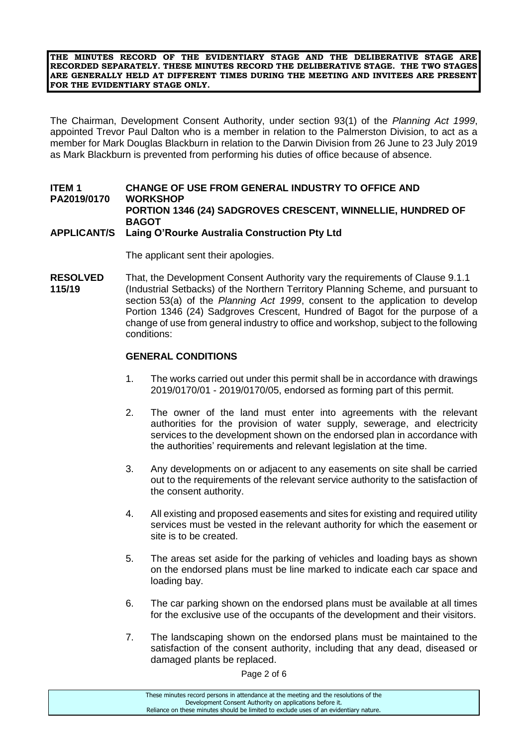**THE MINUTES RECORD OF THE EVIDENTIARY STAGE AND THE DELIBERATIVE STAGE ARE RECORDED SEPARATELY. THESE MINUTES RECORD THE DELIBERATIVE STAGE. THE TWO STAGES ARE GENERALLY HELD AT DIFFERENT TIMES DURING THE MEETING AND INVITEES ARE PRESENT FOR THE EVIDENTIARY STAGE ONLY.**

The Chairman, Development Consent Authority, under section 93(1) of the *Planning Act 1999*, appointed Trevor Paul Dalton who is a member in relation to the Palmerston Division, to act as a member for Mark Douglas Blackburn in relation to the Darwin Division from 26 June to 23 July 2019 as Mark Blackburn is prevented from performing his duties of office because of absence.

### **ITEM 1 CHANGE OF USE FROM GENERAL INDUSTRY TO OFFICE AND PA2019/0170 WORKSHOP PORTION 1346 (24) SADGROVES CRESCENT, WINNELLIE, HUNDRED OF BAGOT**

### **APPLICANT/S Laing O'Rourke Australia Construction Pty Ltd**

The applicant sent their apologies.

**RESOLVED** That, the Development Consent Authority vary the requirements of Clause 9.1.1 **115/19** (Industrial Setbacks) of the Northern Territory Planning Scheme, and pursuant to section 53(a) of the *Planning Act 1999*, consent to the application to develop Portion 1346 (24) Sadgroves Crescent, Hundred of Bagot for the purpose of a change of use from general industry to office and workshop, subject to the following conditions:

#### **GENERAL CONDITIONS**

- 1. The works carried out under this permit shall be in accordance with drawings 2019/0170/01 - 2019/0170/05, endorsed as forming part of this permit.
- 2. The owner of the land must enter into agreements with the relevant authorities for the provision of water supply, sewerage, and electricity services to the development shown on the endorsed plan in accordance with the authorities' requirements and relevant legislation at the time.
- 3. Any developments on or adjacent to any easements on site shall be carried out to the requirements of the relevant service authority to the satisfaction of the consent authority.
- 4. All existing and proposed easements and sites for existing and required utility services must be vested in the relevant authority for which the easement or site is to be created.
- 5. The areas set aside for the parking of vehicles and loading bays as shown on the endorsed plans must be line marked to indicate each car space and loading bay.
- 6. The car parking shown on the endorsed plans must be available at all times for the exclusive use of the occupants of the development and their visitors.
- 7. The landscaping shown on the endorsed plans must be maintained to the satisfaction of the consent authority, including that any dead, diseased or damaged plants be replaced.

Page 2 of 6

These minutes record persons in attendance at the meeting and the resolutions of the Development Consent Authority on applications before it. Reliance on these minutes should be limited to exclude uses of an evidentiary nature.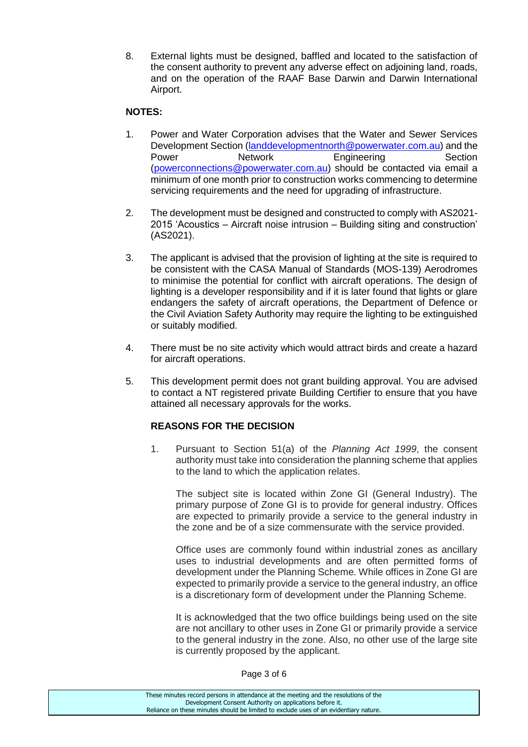8. External lights must be designed, baffled and located to the satisfaction of the consent authority to prevent any adverse effect on adjoining land, roads, and on the operation of the RAAF Base Darwin and Darwin International Airport.

### **NOTES:**

- 1. Power and Water Corporation advises that the Water and Sewer Services Development Section [\(landdevelopmentnorth@powerwater.com.au\)](mailto:landdevelopmentnorth@powerwater.com.au) and the Power **Network Engineering** Section [\(powerconnections@powerwater.com.au\)](mailto:powerconnections@powerwater.com.au) should be contacted via email a minimum of one month prior to construction works commencing to determine servicing requirements and the need for upgrading of infrastructure.
- 2. The development must be designed and constructed to comply with AS2021- 2015 'Acoustics – Aircraft noise intrusion – Building siting and construction' (AS2021).
- 3. The applicant is advised that the provision of lighting at the site is required to be consistent with the CASA Manual of Standards (MOS-139) Aerodromes to minimise the potential for conflict with aircraft operations. The design of lighting is a developer responsibility and if it is later found that lights or glare endangers the safety of aircraft operations, the Department of Defence or the Civil Aviation Safety Authority may require the lighting to be extinguished or suitably modified.
- 4. There must be no site activity which would attract birds and create a hazard for aircraft operations.
- 5. This development permit does not grant building approval. You are advised to contact a NT registered private Building Certifier to ensure that you have attained all necessary approvals for the works.

## **REASONS FOR THE DECISION**

1. Pursuant to Section 51(a) of the *Planning Act 1999*, the consent authority must take into consideration the planning scheme that applies to the land to which the application relates.

The subject site is located within Zone GI (General Industry). The primary purpose of Zone GI is to provide for general industry. Offices are expected to primarily provide a service to the general industry in the zone and be of a size commensurate with the service provided.

Office uses are commonly found within industrial zones as ancillary uses to industrial developments and are often permitted forms of development under the Planning Scheme. While offices in Zone GI are expected to primarily provide a service to the general industry, an office is a discretionary form of development under the Planning Scheme.

It is acknowledged that the two office buildings being used on the site are not ancillary to other uses in Zone GI or primarily provide a service to the general industry in the zone. Also, no other use of the large site is currently proposed by the applicant.

Page 3 of 6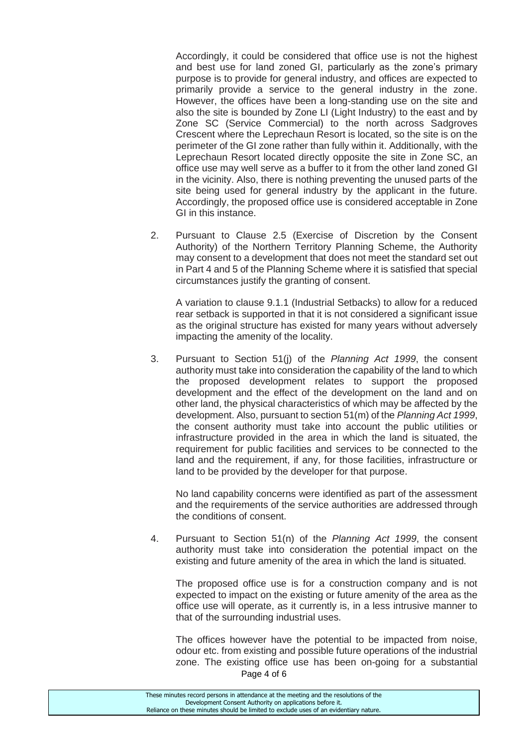Accordingly, it could be considered that office use is not the highest and best use for land zoned GI, particularly as the zone's primary purpose is to provide for general industry, and offices are expected to primarily provide a service to the general industry in the zone. However, the offices have been a long-standing use on the site and also the site is bounded by Zone LI (Light Industry) to the east and by Zone SC (Service Commercial) to the north across Sadgroves Crescent where the Leprechaun Resort is located, so the site is on the perimeter of the GI zone rather than fully within it. Additionally, with the Leprechaun Resort located directly opposite the site in Zone SC, an office use may well serve as a buffer to it from the other land zoned GI in the vicinity. Also, there is nothing preventing the unused parts of the site being used for general industry by the applicant in the future. Accordingly, the proposed office use is considered acceptable in Zone GI in this instance.

2. Pursuant to Clause 2.5 (Exercise of Discretion by the Consent Authority) of the Northern Territory Planning Scheme, the Authority may consent to a development that does not meet the standard set out in Part 4 and 5 of the Planning Scheme where it is satisfied that special circumstances justify the granting of consent.

A variation to clause 9.1.1 (Industrial Setbacks) to allow for a reduced rear setback is supported in that it is not considered a significant issue as the original structure has existed for many years without adversely impacting the amenity of the locality.

3. Pursuant to Section 51(j) of the *Planning Act 1999*, the consent authority must take into consideration the capability of the land to which the proposed development relates to support the proposed development and the effect of the development on the land and on other land, the physical characteristics of which may be affected by the development. Also, pursuant to section 51(m) of the *Planning Act 1999*, the consent authority must take into account the public utilities or infrastructure provided in the area in which the land is situated, the requirement for public facilities and services to be connected to the land and the requirement, if any, for those facilities, infrastructure or land to be provided by the developer for that purpose.

No land capability concerns were identified as part of the assessment and the requirements of the service authorities are addressed through the conditions of consent.

4. Pursuant to Section 51(n) of the *Planning Act 1999*, the consent authority must take into consideration the potential impact on the existing and future amenity of the area in which the land is situated.

The proposed office use is for a construction company and is not expected to impact on the existing or future amenity of the area as the office use will operate, as it currently is, in a less intrusive manner to that of the surrounding industrial uses.

Page 4 of 6 The offices however have the potential to be impacted from noise, odour etc. from existing and possible future operations of the industrial zone. The existing office use has been on-going for a substantial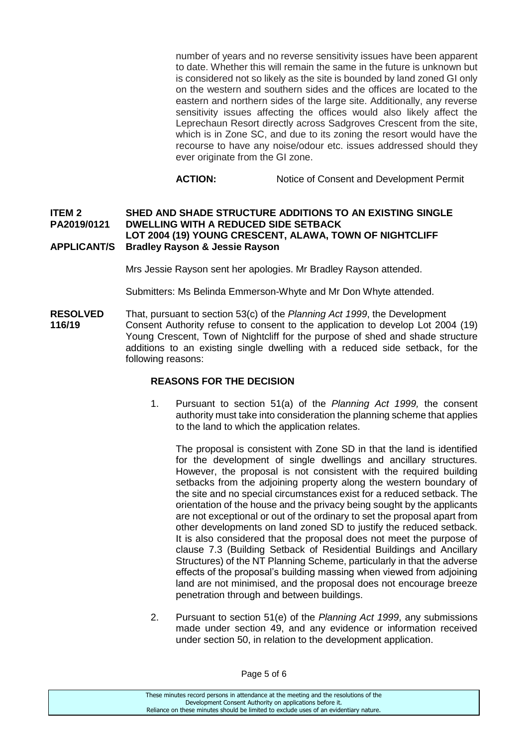number of years and no reverse sensitivity issues have been apparent to date. Whether this will remain the same in the future is unknown but is considered not so likely as the site is bounded by land zoned GI only on the western and southern sides and the offices are located to the eastern and northern sides of the large site. Additionally, any reverse sensitivity issues affecting the offices would also likely affect the Leprechaun Resort directly across Sadgroves Crescent from the site, which is in Zone SC, and due to its zoning the resort would have the recourse to have any noise/odour etc. issues addressed should they ever originate from the GI zone.

**ACTION:** Notice of Consent and Development Permit

#### **ITEM 2 SHED AND SHADE STRUCTURE ADDITIONS TO AN EXISTING SINGLE PA2019/0121 DWELLING WITH A REDUCED SIDE SETBACK LOT 2004 (19) YOUNG CRESCENT, ALAWA, TOWN OF NIGHTCLIFF APPLICANT/S Bradley Rayson & Jessie Rayson**

Mrs Jessie Rayson sent her apologies. Mr Bradley Rayson attended.

Submitters: Ms Belinda Emmerson-Whyte and Mr Don Whyte attended.

**RESOLVED** That, pursuant to section 53(c) of the *Planning Act 1999*, the Development 116/19 Consent Authority refuse to consent to the application to develop Lot 200 Consent Authority refuse to consent to the application to develop Lot 2004 (19) Young Crescent, Town of Nightcliff for the purpose of shed and shade structure additions to an existing single dwelling with a reduced side setback, for the following reasons:

#### **REASONS FOR THE DECISION**

1. Pursuant to section 51(a) of the *Planning Act 1999,* the consent authority must take into consideration the planning scheme that applies to the land to which the application relates.

The proposal is consistent with Zone SD in that the land is identified for the development of single dwellings and ancillary structures. However, the proposal is not consistent with the required building setbacks from the adjoining property along the western boundary of the site and no special circumstances exist for a reduced setback. The orientation of the house and the privacy being sought by the applicants are not exceptional or out of the ordinary to set the proposal apart from other developments on land zoned SD to justify the reduced setback. It is also considered that the proposal does not meet the purpose of clause 7.3 (Building Setback of Residential Buildings and Ancillary Structures) of the NT Planning Scheme, particularly in that the adverse effects of the proposal's building massing when viewed from adjoining land are not minimised, and the proposal does not encourage breeze penetration through and between buildings.

2. Pursuant to section 51(e) of the *Planning Act 1999*, any submissions made under section 49, and any evidence or information received under section 50, in relation to the development application.